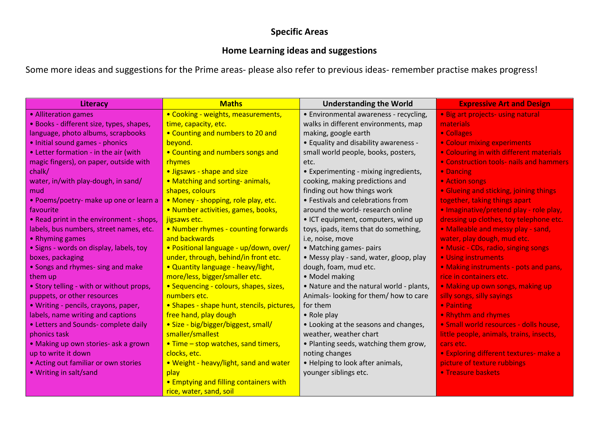## **Specific Areas**

## **Home Learning ideas and suggestions**

Some more ideas and suggestions for the Prime areas- please also refer to previous ideas- remember practise makes progress!

| Literacy                                 | <b>Maths</b>                                  | <b>Understanding the World</b>           | <b>Expressive Art and Design</b>               |
|------------------------------------------|-----------------------------------------------|------------------------------------------|------------------------------------------------|
| • Alliteration games                     | • Cooking - weights, measurements,            | · Environmental awareness - recycling,   | • Big art projects- using natural              |
| · Books - different size, types, shapes, | time, capacity, etc.                          | walks in different environments, map     | materials                                      |
| language, photo albums, scrapbooks       | • Counting and numbers to 20 and              | making, google earth                     | • Collages                                     |
| • Initial sound games - phonics          | beyond.                                       | • Equality and disability awareness -    | • Colour mixing experiments                    |
| • Letter formation - in the air (with    | • Counting and numbers songs and              | small world people, books, posters,      | • Colouring in with different materials        |
| magic fingers), on paper, outside with   | rhymes                                        | etc.                                     | <b>• Construction tools- nails and hammers</b> |
| chalk/                                   | · Jigsaws - shape and size                    | • Experimenting - mixing ingredients,    | • Dancing                                      |
| water, in/with play-dough, in sand/      | • Matching and sorting-animals,               | cooking, making predictions and          | • Action songs                                 |
| mud                                      | shapes, colours                               | finding out how things work              | • Glueing and sticking, joining things         |
| • Poems/poetry- make up one or learn a   | · Money - shopping, role play, etc.           | • Festivals and celebrations from        | together, taking things apart                  |
| favourite                                | · Number activities, games, books,            | around the world- research online        | · Imaginative/pretend play - role play,        |
| • Read print in the environment - shops, | jigsaws etc.                                  | • ICT equipment, computers, wind up      | dressing up clothes, toy telephone etc.        |
| labels, bus numbers, street names, etc.  | • Number rhymes - counting forwards           | toys, ipads, items that do something,    | • Malleable and messy play - sand,             |
| • Rhyming games                          | and backwards                                 | i.e, noise, move                         | water, play dough, mud etc.                    |
| • Signs - words on display, labels, toy  | · Positional language - up/down, over/        | • Matching games- pairs                  | • Music - CDs, radio, singing songs            |
| boxes, packaging                         | under, through, behind/in front etc.          | • Messy play - sand, water, gloop, play  | • Using instruments                            |
| • Songs and rhymes- sing and make        | • Quantity language - heavy/light,            | dough, foam, mud etc.                    | • Making instruments - pots and pans,          |
| them up                                  | more/less, bigger/smaller etc.                | • Model making                           | rice in containers etc.                        |
| • Story telling - with or without props, | • Sequencing - colours, shapes, sizes,        | . Nature and the natural world - plants, | . Making up own songs, making up               |
| puppets, or other resources              | numbers etc.                                  | Animals-looking for them/how to care     | silly songs, silly sayings                     |
| • Writing - pencils, crayons, paper,     | • Shapes - shape hunt, stencils, pictures,    | for them                                 | • Painting                                     |
| labels, name writing and captions        | free hand, play dough                         | • Role play                              | • Rhythm and rhymes                            |
| • Letters and Sounds- complete daily     | · Size - big/bigger/biggest, small/           | • Looking at the seasons and changes,    | · Small world resources - dolls house,         |
| phonics task                             | smaller/smallest                              | weather, weather chart                   | little people, animals, trains, insects,       |
| • Making up own stories- ask a grown     | • Time – stop watches, sand timers,           | . Planting seeds, watching them grow,    | cars etc.                                      |
| up to write it down                      | clocks, etc.                                  | noting changes                           | • Exploring different textures- make a         |
| • Acting out familiar or own stories     | . Weight - heavy/light, sand and water        | • Helping to look after animals,         | picture of texture rubbings                    |
| • Writing in salt/sand                   | play                                          | younger siblings etc.                    | • Treasure baskets                             |
|                                          | <b>• Emptying and filling containers with</b> |                                          |                                                |
|                                          | rice, water, sand, soil                       |                                          |                                                |